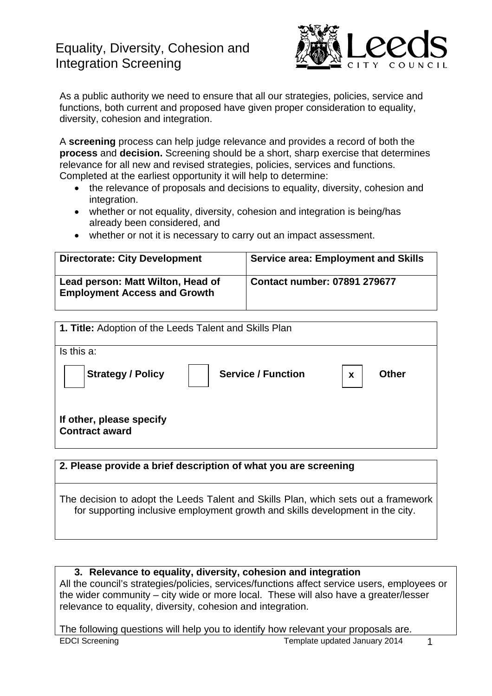# Equality, Diversity, Cohesion and Integration Screening



As a public authority we need to ensure that all our strategies, policies, service and functions, both current and proposed have given proper consideration to equality, diversity, cohesion and integration.

A **screening** process can help judge relevance and provides a record of both the **process** and **decision.** Screening should be a short, sharp exercise that determines relevance for all new and revised strategies, policies, services and functions. Completed at the earliest opportunity it will help to determine:

- the relevance of proposals and decisions to equality, diversity, cohesion and integration.
- whether or not equality, diversity, cohesion and integration is being/has already been considered, and
- whether or not it is necessary to carry out an impact assessment.

| <b>Directorate: City Development</b>                                     | <b>Service area: Employment and Skills</b> |
|--------------------------------------------------------------------------|--------------------------------------------|
| Lead person: Matt Wilton, Head of<br><b>Employment Access and Growth</b> | <b>Contact number: 07891 279677</b>        |

| <b>1. Title:</b> Adoption of the Leeds Talent and Skills Plan              |  |  |  |
|----------------------------------------------------------------------------|--|--|--|
| Is this a:                                                                 |  |  |  |
| <b>Strategy / Policy</b><br><b>Service / Function</b><br><b>Other</b><br>X |  |  |  |
| If other, please specify<br><b>Contract award</b>                          |  |  |  |
|                                                                            |  |  |  |
| 2. Please provide a brief description of what you are screening            |  |  |  |

The decision to adopt the Leeds Talent and Skills Plan, which sets out a framework for supporting inclusive employment growth and skills development in the city.

#### **3. Relevance to equality, diversity, cohesion and integration**

All the council's strategies/policies, services/functions affect service users, employees or the wider community – city wide or more local. These will also have a greater/lesser relevance to equality, diversity, cohesion and integration.

EDCI Screening Template updated January 2014 The following questions will help you to identify how relevant your proposals are.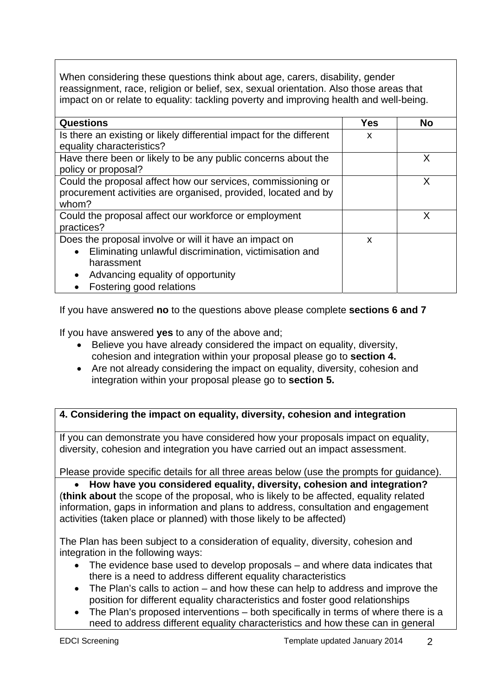When considering these questions think about age, carers, disability, gender reassignment, race, religion or belief, sex, sexual orientation. Also those areas that impact on or relate to equality: tackling poverty and improving health and well-being.

| <b>Questions</b>                                                     | <b>Yes</b> | <b>No</b> |
|----------------------------------------------------------------------|------------|-----------|
| Is there an existing or likely differential impact for the different | X          |           |
| equality characteristics?                                            |            |           |
| Have there been or likely to be any public concerns about the        |            | X         |
| policy or proposal?                                                  |            |           |
| Could the proposal affect how our services, commissioning or         |            | X         |
| procurement activities are organised, provided, located and by       |            |           |
| whom?                                                                |            |           |
| Could the proposal affect our workforce or employment                |            | X         |
| practices?                                                           |            |           |
| Does the proposal involve or will it have an impact on               | X          |           |
| Eliminating unlawful discrimination, victimisation and<br>$\bullet$  |            |           |
| harassment                                                           |            |           |
| Advancing equality of opportunity<br>$\bullet$                       |            |           |
| Fostering good relations                                             |            |           |

If you have answered **no** to the questions above please complete **sections 6 and 7**

If you have answered **yes** to any of the above and;

- Believe you have already considered the impact on equality, diversity, cohesion and integration within your proposal please go to **section 4.**
- Are not already considering the impact on equality, diversity, cohesion and integration within your proposal please go to **section 5.**

## **4. Considering the impact on equality, diversity, cohesion and integration**

If you can demonstrate you have considered how your proposals impact on equality, diversity, cohesion and integration you have carried out an impact assessment.

Please provide specific details for all three areas below (use the prompts for guidance).

 **How have you considered equality, diversity, cohesion and integration?**  (**think about** the scope of the proposal, who is likely to be affected, equality related information, gaps in information and plans to address, consultation and engagement activities (taken place or planned) with those likely to be affected)

The Plan has been subject to a consideration of equality, diversity, cohesion and integration in the following ways:

- The evidence base used to develop proposals and where data indicates that there is a need to address different equality characteristics
- The Plan's calls to action and how these can help to address and improve the position for different equality characteristics and foster good relationships
- The Plan's proposed interventions both specifically in terms of where there is a need to address different equality characteristics and how these can in general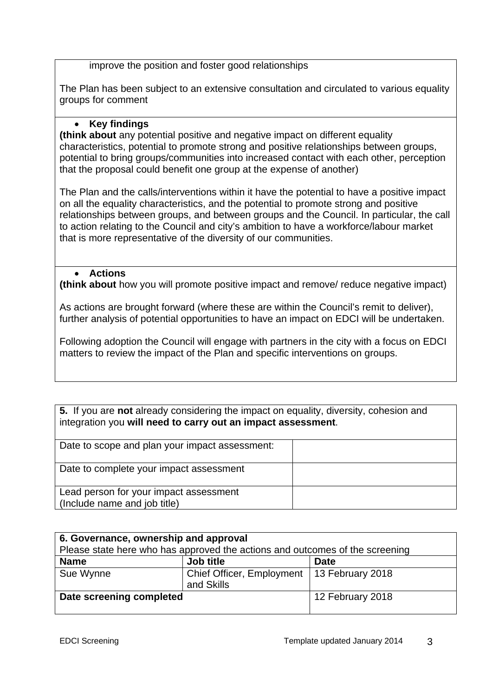improve the position and foster good relationships

The Plan has been subject to an extensive consultation and circulated to various equality groups for comment

### **Key findings**

**(think about** any potential positive and negative impact on different equality characteristics, potential to promote strong and positive relationships between groups, potential to bring groups/communities into increased contact with each other, perception that the proposal could benefit one group at the expense of another)

The Plan and the calls/interventions within it have the potential to have a positive impact on all the equality characteristics, and the potential to promote strong and positive relationships between groups, and between groups and the Council. In particular, the call to action relating to the Council and city's ambition to have a workforce/labour market that is more representative of the diversity of our communities.

### **Actions**

**(think about** how you will promote positive impact and remove/ reduce negative impact)

As actions are brought forward (where these are within the Council's remit to deliver), further analysis of potential opportunities to have an impact on EDCI will be undertaken.

Following adoption the Council will engage with partners in the city with a focus on EDCI matters to review the impact of the Plan and specific interventions on groups.

**5.** If you are **not** already considering the impact on equality, diversity, cohesion and integration you **will need to carry out an impact assessment**.

| Date to scope and plan your impact assessment:                         |  |
|------------------------------------------------------------------------|--|
| Date to complete your impact assessment                                |  |
| Lead person for your impact assessment<br>(Include name and job title) |  |

| 6. Governance, ownership and approval                                        |                                         |                  |  |  |
|------------------------------------------------------------------------------|-----------------------------------------|------------------|--|--|
| Please state here who has approved the actions and outcomes of the screening |                                         |                  |  |  |
| <b>Name</b>                                                                  | Job title                               | <b>Date</b>      |  |  |
| Sue Wynne                                                                    | Chief Officer, Employment<br>and Skills | 13 February 2018 |  |  |
| Date screening completed                                                     |                                         | 12 February 2018 |  |  |